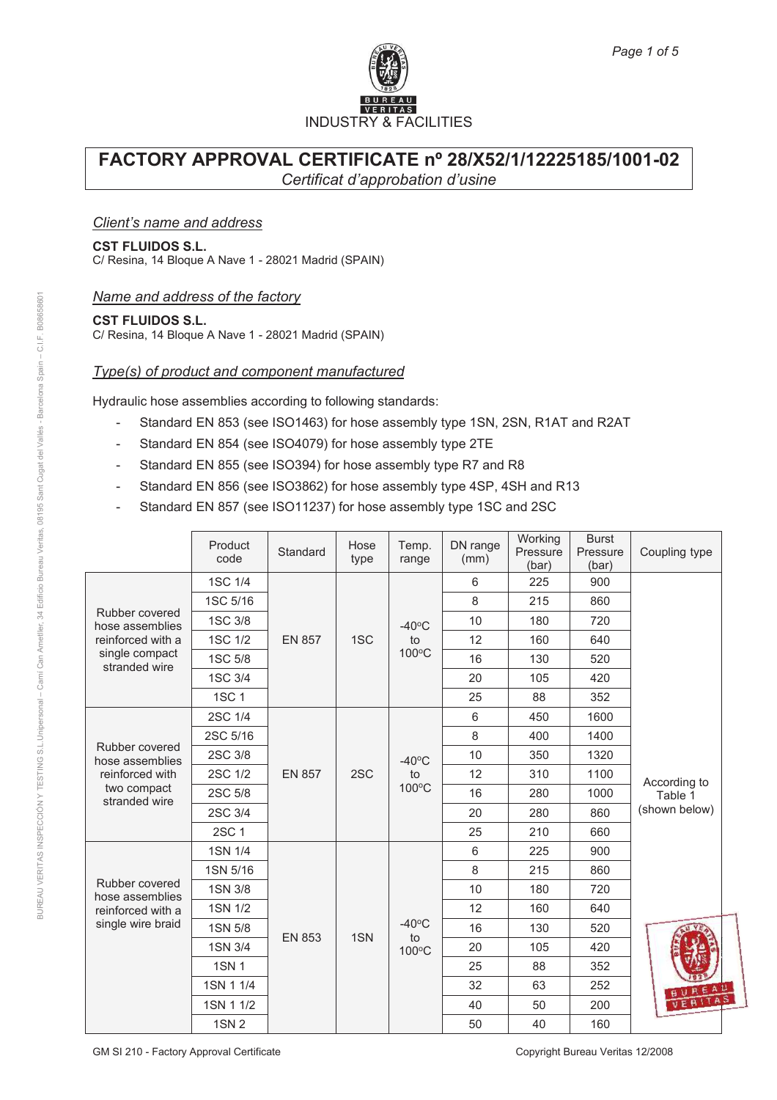

### *Client's name and address*

#### **CST FLUIDOS S.L.**

C/ Resina, 14 Bloque A Nave 1 - 28021 Madrid (SPAIN)

### *Name and address of the factory*

#### **CST FLUIDOS S.L.**

C/ Resina, 14 Bloque A Nave 1 - 28021 Madrid (SPAIN)

### *Type(s) of product and component manufactured*

Hydraulic hose assemblies according to following standards:

- Standard EN 853 (see ISO1463) for hose assembly type 1SN, 2SN, R1AT and R2AT
- Standard EN 854 (see ISO4079) for hose assembly type 2TE
- Standard EN 855 (see ISO394) for hose assembly type R7 and R8
- Standard EN 856 (see ISO3862) for hose assembly type 4SP, 4SH and R13
- Standard EN 857 (see ISO11237) for hose assembly type 1SC and 2SC

|                                        | Product<br>code | Standard      | Hose<br>type | Temp.<br>range                 | DN range<br>(mm) | Working<br>Pressure<br>(bar) | <b>Burst</b><br>Pressure<br>(bar) | Coupling type           |    |     |         |
|----------------------------------------|-----------------|---------------|--------------|--------------------------------|------------------|------------------------------|-----------------------------------|-------------------------|----|-----|---------|
|                                        | 1SC 1/4         |               |              |                                | 6                | 225                          | 900                               |                         |    |     |         |
|                                        | 1SC 5/16        |               | 1SC          | $-40^{\circ}$ C<br>to<br>100°C | 8                | 215                          | 860                               |                         |    |     |         |
| Rubber covered<br>hose assemblies      | 1SC 3/8         |               |              |                                | 10               | 180                          | 720                               |                         |    |     |         |
| reinforced with a                      | 1SC 1/2         | <b>EN 857</b> |              |                                | 12               | 160                          | 640                               |                         |    |     |         |
| single compact<br>stranded wire        | 1SC 5/8         |               |              |                                | 16               | 130                          | 520                               |                         |    |     |         |
|                                        | 1SC 3/4         |               |              |                                | 20               | 105                          | 420                               |                         |    |     |         |
|                                        | 1SC 1           |               |              |                                | 25               | 88                           | 352                               |                         |    |     |         |
|                                        | 2SC 1/4         |               |              |                                | 6                | 450                          | 1600                              |                         |    |     |         |
|                                        | 2SC 5/16        |               | 2SC          | $-40^{\circ}$ C<br>to<br>100°C | 8                | 400                          | 1400                              | According to<br>Table 1 |    |     |         |
| Rubber covered<br>hose assemblies      | 2SC 3/8         |               |              |                                | 10               | 350                          | 1320                              |                         |    |     |         |
| reinforced with                        | 2SC 1/2         | <b>EN 857</b> |              |                                | 12               | 310                          | 1100                              |                         |    |     |         |
| two compact<br>stranded wire           | 2SC 5/8         |               |              |                                | 16               | 280                          | 1000                              |                         |    |     |         |
|                                        | 2SC 3/4         |               |              |                                | 20               | 280                          | 860                               | (shown below)           |    |     |         |
|                                        | 2SC 1           |               |              |                                | 25               | 210                          | 660                               |                         |    |     |         |
|                                        | 1SN 1/4         |               | 1SN          |                                | 6                | 225                          | 900                               |                         |    |     |         |
|                                        | 1SN 5/16        |               |              |                                | 8                | 215                          | 860                               |                         |    |     |         |
| Rubber covered<br>hose assemblies      | 1SN 3/8         |               |              | $-40^{\circ}$ C<br>to          | 10               | 180                          | 720                               |                         |    |     |         |
| reinforced with a<br>single wire braid | 1SN 1/2         |               |              |                                | 12               | 160                          | 640                               |                         |    |     |         |
|                                        | 1SN 5/8         | <b>EN 853</b> |              |                                | 16               | 130                          | 520                               |                         |    |     |         |
|                                        | 1SN 3/4         |               |              | 100°C                          | 20               | 105                          | 420                               |                         |    |     |         |
|                                        | <b>1SN1</b>     |               |              |                                | 25               | 88                           | 352                               |                         |    |     |         |
|                                        | 1SN 1 1/4       |               |              |                                | 32               | 63                           | 252                               | <b>BUREAU</b>           |    |     |         |
|                                        | 1SN 1 1/2       |               |              |                                |                  |                              |                                   | 40                      | 50 | 200 | VERITAS |
|                                        | <b>1SN 2</b>    |               |              |                                | 50               | 40                           | 160                               |                         |    |     |         |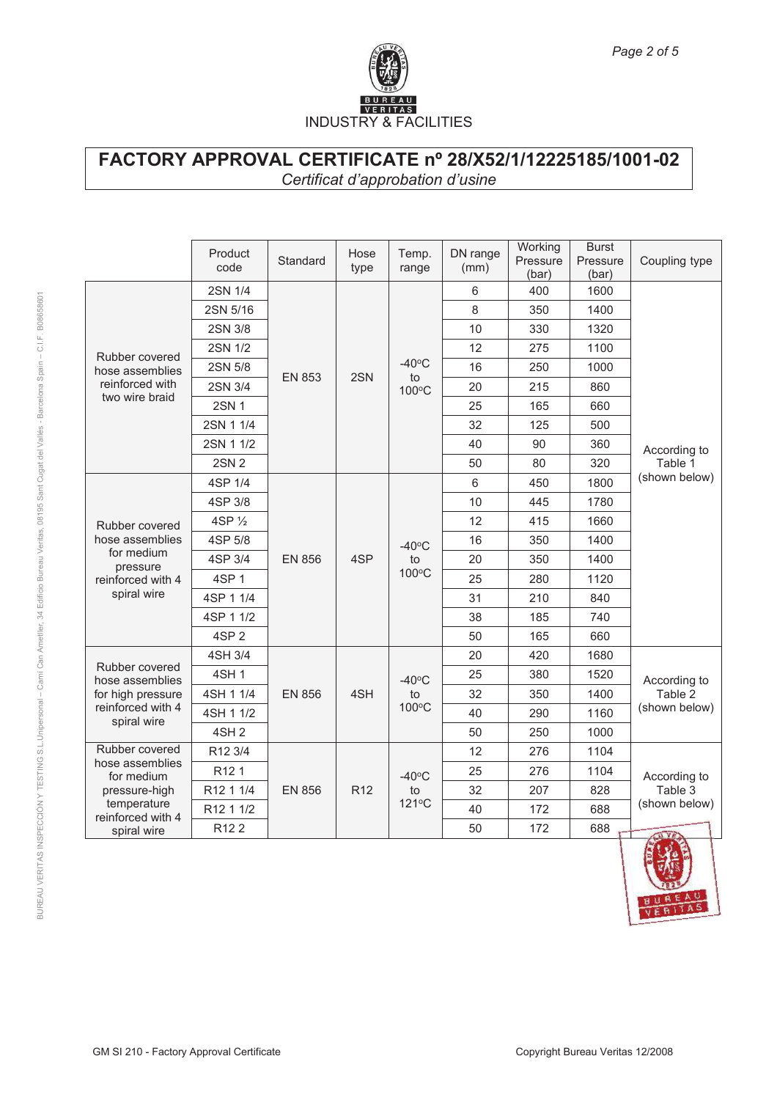

|                                                                                                   | Product<br>code                 | Standard      | Hose<br>type    | Temp.<br>range                 | DN range<br>(mm) | Working<br>Pressure<br>(bar) | <b>Burst</b><br>Pressure<br>(bar) | Coupling type                            |
|---------------------------------------------------------------------------------------------------|---------------------------------|---------------|-----------------|--------------------------------|------------------|------------------------------|-----------------------------------|------------------------------------------|
|                                                                                                   | 2SN 1/4                         |               |                 |                                | 6                | 400                          | 1600                              |                                          |
|                                                                                                   | 2SN 5/16                        |               |                 |                                | 8                | 350                          | 1400                              |                                          |
|                                                                                                   | 2SN 3/8                         |               |                 | $-40\degree C$<br>to<br>100°C  | 10               | 330                          | 1320                              | According to<br>Table 1                  |
| Rubber covered                                                                                    | 2SN 1/2                         |               |                 |                                | 12               | 275                          | 1100                              |                                          |
| hose assemblies                                                                                   | 2SN 5/8                         | <b>EN 853</b> | 2SN             |                                | 16               | 250                          | 1000                              |                                          |
| reinforced with                                                                                   | 2SN 3/4                         |               |                 |                                | 20               | 215                          | 860                               |                                          |
| two wire braid                                                                                    | <b>2SN1</b>                     |               |                 |                                | 25               | 165                          | 660                               |                                          |
|                                                                                                   | 2SN 1 1/4                       |               |                 |                                | 32               | 125                          | 500                               |                                          |
|                                                                                                   | 2SN 1 1/2                       |               |                 |                                | 40               | 90                           | 360                               |                                          |
|                                                                                                   | 2SN 2                           |               |                 |                                | 50               | 80                           | 320                               |                                          |
|                                                                                                   | 4SP 1/4                         |               |                 |                                | 6                | 450                          | 1800                              | (shown below)                            |
|                                                                                                   | 4SP 3/8                         |               |                 |                                | 10               | 445                          | 1780                              |                                          |
| Rubber covered                                                                                    | 4SP 1/2                         |               |                 |                                | 12               | 415                          | 1660                              |                                          |
| hose assemblies                                                                                   | 4SP 5/8                         | <b>EN 856</b> | 4SP             | $-40$ °C<br>to<br>100°C        | 16               | 350                          | 1400                              |                                          |
| for medium<br>pressure                                                                            | 4SP 3/4                         |               |                 |                                | 20               | 350                          | 1400                              |                                          |
| reinforced with 4                                                                                 | 4SP 1                           |               |                 |                                | 25               | 280                          | 1120                              |                                          |
| spiral wire                                                                                       | 4SP 1 1/4                       |               |                 |                                | 31               | 210                          | 840                               |                                          |
|                                                                                                   | 4SP 1 1/2                       |               |                 |                                | 38               | 185                          | 740                               |                                          |
|                                                                                                   | 4SP <sub>2</sub>                |               |                 |                                | 50               | 165                          | 660                               |                                          |
|                                                                                                   | 4SH 3/4                         |               |                 |                                | 20               | 420                          | 1680                              |                                          |
| Rubber covered<br>hose assemblies                                                                 | <b>4SH1</b>                     |               |                 | $-40$ °C                       | 25               | 380                          | 1520                              | According to                             |
| for high pressure<br>reinforced with 4                                                            | 4SH 1 1/4                       | <b>EN 856</b> | 4SH             | to<br>100°C                    | 32               | 350                          | 1400                              | Table 2<br>(shown below)                 |
|                                                                                                   | 4SH 1 1/2                       |               |                 |                                | 40               | 290                          | 1160                              |                                          |
|                                                                                                   | spiral wire<br>4SH <sub>2</sub> |               |                 |                                | 50               | 250                          | 1000                              |                                          |
| Rubber covered                                                                                    | R12 3/4                         |               |                 |                                | 12               | 276                          | 1104                              |                                          |
| hose assemblies<br>for medium<br>pressure-high<br>temperature<br>reinforced with 4<br>spiral wire | R <sub>12</sub> 1               |               |                 | $-40^{\circ}$ C<br>to<br>121°C | 25               | 276                          | 1104                              | According to<br>Table 3<br>(shown below) |
|                                                                                                   | R12 1 1/4                       | <b>EN 856</b> | R <sub>12</sub> |                                | 32               | 207                          | 828                               |                                          |
|                                                                                                   | R12 1 1/2                       |               |                 |                                | 40               | 172                          | 688                               |                                          |
|                                                                                                   | R <sub>122</sub>                |               |                 |                                | 50               | 172                          | 688                               | <b>ALL VEA</b>                           |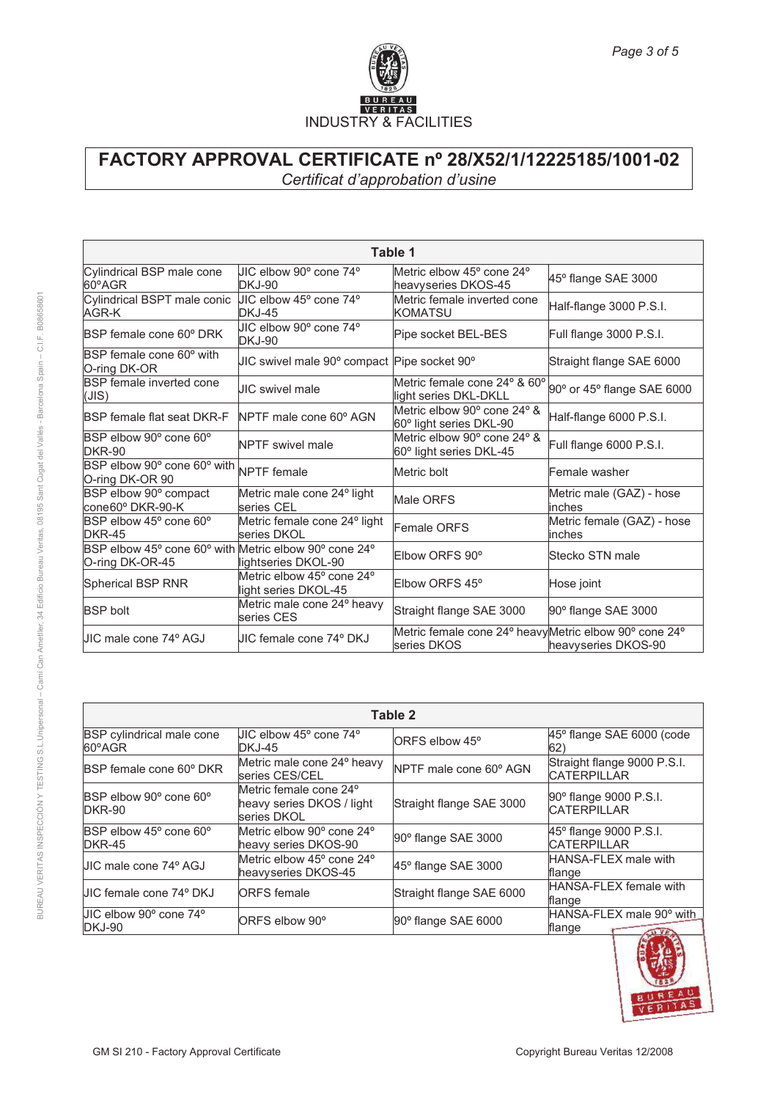

| Table 1                                                                  |                                                   |                                                                       |                                      |  |
|--------------------------------------------------------------------------|---------------------------------------------------|-----------------------------------------------------------------------|--------------------------------------|--|
| Cylindrical BSP male cone<br>60°AGR                                      | UIC elbow 90° cone 74°<br>DKJ-90                  | Metric elbow 45° cone 24°<br>heavyseries DKOS-45                      | 45° flange SAE 3000                  |  |
| Cylindrical BSPT male conic<br>AGR-K                                     | JIC elbow 45° cone 74°<br>DKJ-45                  | Metric female inverted cone<br>KOMATSU                                | Half-flange 3000 P.S.I.              |  |
| BSP female cone 60° DRK                                                  | UIC elbow 90° cone 74°<br>DKJ-90                  | Pipe socket BEL-BES                                                   | Full flange 3000 P.S.I.              |  |
| BSP female cone 60° with<br>O-ring DK-OR                                 | JIC swivel male 90° compact Pipe socket 90°       |                                                                       | Straight flange SAE 6000             |  |
| <b>BSP</b> female inverted cone<br>(JIS)                                 | UIC swivel male                                   | Metric female cone 24° & 60°<br>light series DKL-DKLL                 | 90° or 45° flange SAE 6000           |  |
| <b>BSP</b> female flat seat DKR-F                                        | NPTF male cone 60° AGN                            | Metric elbow 90° cone 24° &<br>60° light series DKL-90                | Half-flange 6000 P.S.I.              |  |
| BSP elbow 90° cone 60°<br>DKR-90                                         | <b>NPTF</b> swivel male                           | Metric elbow 90° cone 24° &<br>60° light series DKL-45                | Full flange 6000 P.S.I.              |  |
| BSP elbow 90° cone 60° with NPTF female<br>O-ring DK-OR 90               |                                                   | Metric bolt                                                           | Female washer                        |  |
| BSP elbow 90° compact<br>cone60° DKR-90-K                                | Metric male cone 24° light<br>series CEL          | Male ORFS                                                             | Metric male (GAZ) - hose<br>linches  |  |
| BSP elbow 45° cone 60°<br><b>DKR-45</b>                                  | Metric female cone 24° light<br>series DKOL       | Female ORFS                                                           | Metric female (GAZ) - hose<br>inches |  |
| BSP elbow 45° cone 60° with Metric elbow 90° cone 24°<br>O-ring DK-OR-45 | lightseries DKOL-90                               | Elbow ORFS 90°                                                        | <b>Stecko STN male</b>               |  |
| Spherical BSP RNR                                                        | Metric elbow 45° cone 24°<br>light series DKOL-45 | Elbow ORFS 45°                                                        | Hose joint                           |  |
| <b>BSP</b> bolt                                                          | Metric male cone 24° heavy<br>series CES          | Straight flange SAE 3000                                              | 90° flange SAE 3000                  |  |
| UIC male cone 74º AGJ                                                    | UIC female cone 74º DKJ                           | Metric female cone 24° heavy Metric elbow 90° cone 24°<br>series DKOS | heavyseries DKOS-90                  |  |

|                                            | Table 2                                                                        |                            |                                                   |  |  |
|--------------------------------------------|--------------------------------------------------------------------------------|----------------------------|---------------------------------------------------|--|--|
| <b>BSP</b> cylindrical male cone<br>60°AGR | UIC elbow 45° cone 74°<br>DKJ-45                                               | ORFS elbow 45 <sup>o</sup> | $45^\circ$ flange SAE 6000 (code<br>62)           |  |  |
| <b>BSP</b> female cone 60° DKR             | Metric male cone 24° heavy<br>series CES/CEL                                   | NPTF male cone 60° AGN     | Straight flange 9000 P.S.I.<br><b>CATERPILLAR</b> |  |  |
| BSP elbow 90° cone 60°<br>DKR-90           | Metric female cone 24 <sup>°</sup><br>heavy series DKOS / light<br>series DKOL | Straight flange SAE 3000   | 90° flange 9000 P.S.I.<br><b>CATERPILLAR</b>      |  |  |
| BSP elbow 45° cone 60°<br>DKR-45           | Metric elbow 90° cone 24°<br>heavy series DKOS-90                              | 90° flange SAE 3000        | 45° flange 9000 P.S.I.<br><b>CATERPILLAR</b>      |  |  |
| UIC male cone 74° AGJ                      | Metric elbow 45° cone 24°<br>heavyseries DKOS-45                               | $45^\circ$ flange SAE 3000 | <b>HANSA-FLEX male with</b><br>flange             |  |  |
| UIC female cone 74º DKJ                    | <b>ORFS</b> female                                                             | Straight flange SAE 6000   | <b>HANSA-FLEX</b> female with<br>flange           |  |  |
| UIC elbow 90° cone 74°<br>DKJ-90           | ORFS elbow 90°                                                                 | 90° flange SAE 6000        | HANSA-FLEX male 90° with<br>flange<br>AU VE       |  |  |

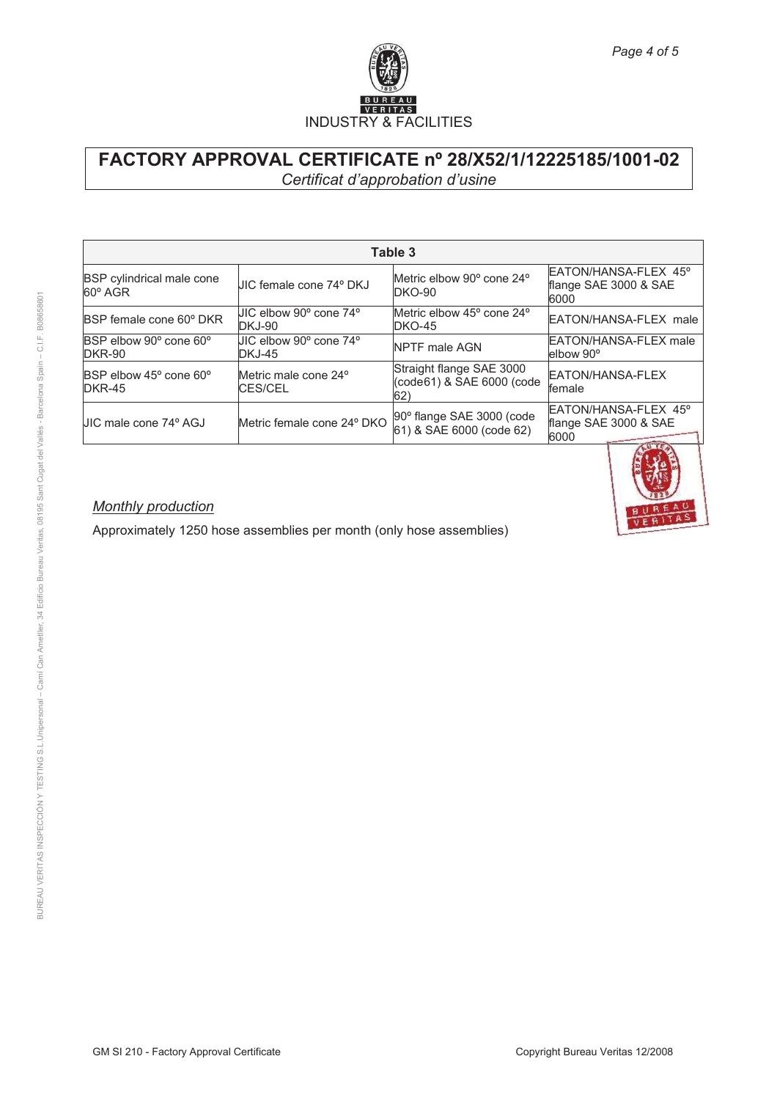

| Table 3                                 |                                  |                                                              |                                                       |  |  |
|-----------------------------------------|----------------------------------|--------------------------------------------------------------|-------------------------------------------------------|--|--|
| BSP cylindrical male cone<br>60° AGR    | JIC female cone 74° DKJ          | Metric elbow 90° cone 24°<br><b>DKO-90</b>                   | EATON/HANSA-FLEX 45°<br>flange SAE 3000 & SAE<br>6000 |  |  |
| BSP female cone 60° DKR                 | UIC elbow 90º cone 74º<br>DKJ-90 | Metric elbow 45° cone 24°<br><b>DKO-45</b>                   | EATON/HANSA-FLEX male                                 |  |  |
| BSP elbow 90° cone 60°<br><b>DKR-90</b> | UIC elbow 90º cone 74º<br>DKJ-45 | <b>NPTF</b> male AGN                                         | <b>EATON/HANSA-FLEX male</b><br>elbow 90°             |  |  |
| BSP elbow 45° cone 60°<br><b>DKR-45</b> | Metric male cone 24°<br>CES/CEL  | Straight flange SAE 3000<br>(code61) & SAE 6000 (code<br>62) | EATON/HANSA-FLEX<br>lfemale                           |  |  |
| JIC male cone 74º AGJ                   | Metric female cone 24° DKO       | 90° flange SAE 3000 (code<br>61) & SAE 6000 (code 62)        | EATON/HANSA-FLEX 45°<br>flange SAE 3000 & SAE<br>6000 |  |  |



### *Monthly production*

Approximately 1250 hose assemblies per month (only hose assemblies)